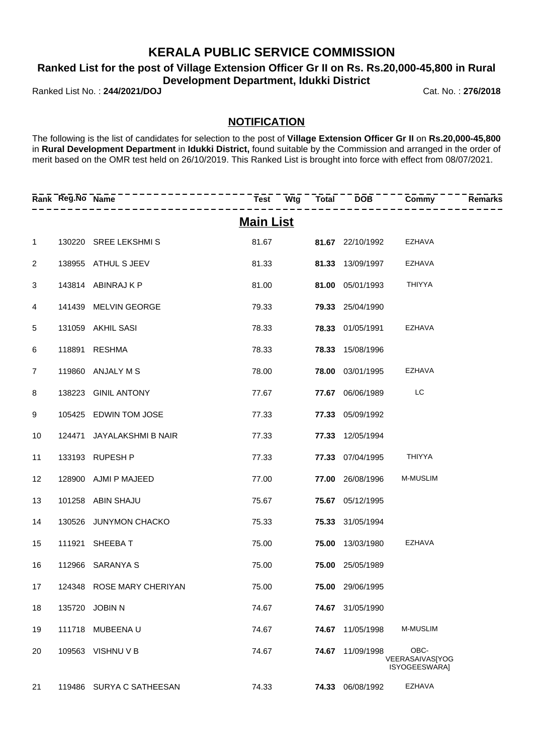### **KERALA PUBLIC SERVICE COMMISSION**

**Ranked List for the post of Village Extension Officer Gr II on Rs. Rs.20,000-45,800 in Rural Development Department, Idukki District**

Ranked List No. : **244/2021/DOJ** Cat. No. : **276/2018**

### **NOTIFICATION**

The following is the list of candidates for selection to the post of **Village Extension Officer Gr II** on **Rs.20,000-45,800** in **Rural Development Department** in **Idukki District,** found suitable by the Commission and arranged in the order of merit based on the OMR test held on 26/10/2019. This Ranked List is brought into force with effect from 08/07/2021.

|                | Rank Reg.No Name | --------------            | Test Wtg         |                         | $Total$ $\overline{DOB}$ $\overline{O}$ $\overline{O}$ $\overline{O}$ $\overline{O}$ $\overline{O}$ $\overline{O}$ $\overline{O}$ $\overline{O}$ $\overline{O}$ $\overline{O}$ $\overline{O}$ $\overline{O}$ $\overline{O}$ $\overline{O}$ $\overline{O}$ $\overline{O}$ $\overline{O}$ $\overline{O}$ $\overline{O}$ $\overline{O}$ $\overline{O}$ $\overline{O}$ $\overline{O}$ | <b>Remarks</b> |
|----------------|------------------|---------------------------|------------------|-------------------------|-----------------------------------------------------------------------------------------------------------------------------------------------------------------------------------------------------------------------------------------------------------------------------------------------------------------------------------------------------------------------------------|----------------|
|                |                  |                           | <u>Main List</u> |                         |                                                                                                                                                                                                                                                                                                                                                                                   |                |
| $\mathbf{1}$   |                  | 130220 SREE LEKSHMIS      | 81.67            | <b>81.67</b> 22/10/1992 | EZHAVA                                                                                                                                                                                                                                                                                                                                                                            |                |
| $\overline{2}$ |                  | 138955 ATHUL S JEEV       | 81.33            | 81.33 13/09/1997        | EZHAVA                                                                                                                                                                                                                                                                                                                                                                            |                |
| 3              |                  | 143814 ABINRAJ K P        | 81.00            | 81.00 05/01/1993        | <b>THIYYA</b>                                                                                                                                                                                                                                                                                                                                                                     |                |
| 4              |                  | 141439 MELVIN GEORGE      | 79.33            | <b>79.33</b> 25/04/1990 |                                                                                                                                                                                                                                                                                                                                                                                   |                |
| 5              |                  | 131059 AKHIL SASI         | 78.33            | <b>78.33</b> 01/05/1991 | EZHAVA                                                                                                                                                                                                                                                                                                                                                                            |                |
| 6              |                  | 118891 RESHMA             | 78.33            | 78.33 15/08/1996        |                                                                                                                                                                                                                                                                                                                                                                                   |                |
| $\overline{7}$ |                  | 119860 ANJALY M S         | 78.00            | <b>78.00</b> 03/01/1995 | <b>EZHAVA</b>                                                                                                                                                                                                                                                                                                                                                                     |                |
| 8              |                  | 138223 GINIL ANTONY       | 77.67            | 77.67 06/06/1989        | LC                                                                                                                                                                                                                                                                                                                                                                                |                |
| 9              |                  | 105425 EDWIN TOM JOSE     | 77.33            | 77.33 05/09/1992        |                                                                                                                                                                                                                                                                                                                                                                                   |                |
| 10             |                  | 124471 JAYALAKSHMI B NAIR | 77.33            | 77.33 12/05/1994        |                                                                                                                                                                                                                                                                                                                                                                                   |                |
| 11             |                  | 133193 RUPESH P           | 77.33            | 77.33 07/04/1995        | <b>THIYYA</b>                                                                                                                                                                                                                                                                                                                                                                     |                |
| 12             |                  | 128900 AJMI P MAJEED      | 77.00            | 77.00 26/08/1996        | <b>M-MUSLIM</b>                                                                                                                                                                                                                                                                                                                                                                   |                |
| 13             |                  | 101258 ABIN SHAJU         | 75.67            | 75.67 05/12/1995        |                                                                                                                                                                                                                                                                                                                                                                                   |                |
| 14             |                  | 130526 JUNYMON CHACKO     | 75.33            | 75.33 31/05/1994        |                                                                                                                                                                                                                                                                                                                                                                                   |                |
| 15             |                  | 111921 SHEEBAT            | 75.00            | 75.00 13/03/1980        | EZHAVA                                                                                                                                                                                                                                                                                                                                                                            |                |
| 16             |                  | 112966 SARANYA S          | 75.00            | 75.00 25/05/1989        |                                                                                                                                                                                                                                                                                                                                                                                   |                |
| 17             |                  | 124348 ROSE MARY CHERIYAN | 75.00            | 75.00 29/06/1995        |                                                                                                                                                                                                                                                                                                                                                                                   |                |
| 18             |                  | 135720 JOBIN N            | 74.67            | 74.67 31/05/1990        |                                                                                                                                                                                                                                                                                                                                                                                   |                |
| 19             |                  | 111718 MUBEENAU           | 74.67            | 74.67 11/05/1998        | <b>M-MUSLIM</b>                                                                                                                                                                                                                                                                                                                                                                   |                |
| 20             |                  | 109563 VISHNU V B         | 74.67            | 74.67 11/09/1998        | OBC-<br>VEERASAIVAS[YOG<br>ISYOGEESWARA]                                                                                                                                                                                                                                                                                                                                          |                |
| 21             |                  | 119486 SURYA C SATHEESAN  | 74.33            | 74.33 06/08/1992        | <b>EZHAVA</b>                                                                                                                                                                                                                                                                                                                                                                     |                |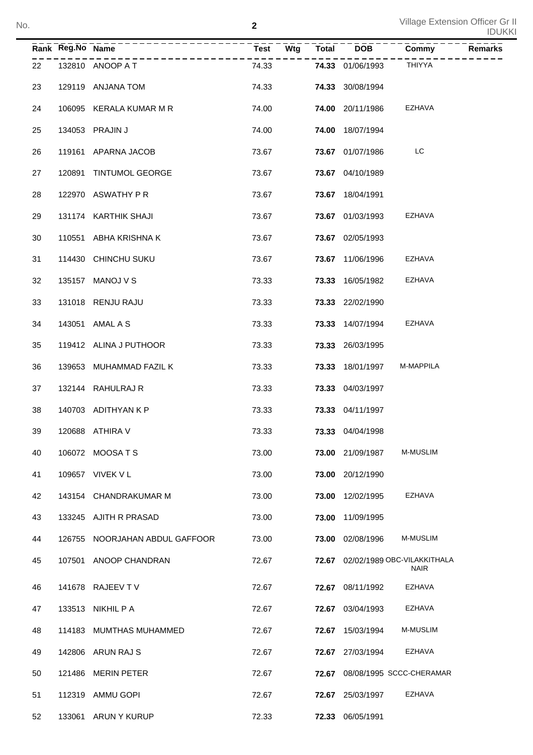|    | Rank Reg.No Name |                         | $\overline{\mathsf{W}}$ tg<br><b>Test</b> | <b>Total</b> | $\overline{DOB}$ | Commy                                            | Remarks |
|----|------------------|-------------------------|-------------------------------------------|--------------|------------------|--------------------------------------------------|---------|
| 22 |                  | 132810 ANOOP A T        | 74.33                                     |              | 74.33 01/06/1993 | <b>THIYYA</b>                                    |         |
| 23 |                  | 129119 ANJANA TOM       | 74.33                                     |              | 74.33 30/08/1994 |                                                  |         |
| 24 |                  | 106095 KERALA KUMAR M R | 74.00                                     |              | 74.00 20/11/1986 | EZHAVA                                           |         |
| 25 |                  | 134053 PRAJIN J         | 74.00                                     |              | 74.00 18/07/1994 |                                                  |         |
| 26 |                  | 119161 APARNA JACOB     | 73.67                                     |              | 73.67 01/07/1986 | LC                                               |         |
| 27 |                  | 120891 TINTUMOL GEORGE  | 73.67                                     |              | 73.67 04/10/1989 |                                                  |         |
| 28 |                  | 122970 ASWATHY P R      | 73.67                                     |              | 73.67 18/04/1991 |                                                  |         |
| 29 |                  | 131174 KARTHIK SHAJI    | 73.67                                     |              | 73.67 01/03/1993 | EZHAVA                                           |         |
| 30 |                  | 110551 ABHA KRISHNA K   | 73.67                                     |              | 73.67 02/05/1993 |                                                  |         |
| 31 |                  | 114430 CHINCHU SUKU     | 73.67                                     |              | 73.67 11/06/1996 | EZHAVA                                           |         |
| 32 |                  | 135157 MANOJ V S        | 73.33                                     |              | 73.33 16/05/1982 | EZHAVA                                           |         |
| 33 |                  | 131018 RENJU RAJU       | 73.33                                     |              | 73.33 22/02/1990 |                                                  |         |
| 34 |                  | 143051 AMAL A S         | 73.33                                     |              | 73.33 14/07/1994 | EZHAVA                                           |         |
| 35 |                  | 119412 ALINA J PUTHOOR  | 73.33                                     |              | 73.33 26/03/1995 |                                                  |         |
| 36 |                  | 139653 MUHAMMAD FAZIL K | 73.33                                     |              | 73.33 18/01/1997 | M-MAPPILA                                        |         |
| 37 |                  | 132144 RAHULRAJ R       | 73.33                                     |              | 73.33 04/03/1997 |                                                  |         |
| 38 |                  | 140703 ADITHYAN K P     | 73.33                                     |              | 73.33 04/11/1997 |                                                  |         |
| 39 |                  | 120688 ATHIRA V         | 73.33                                     |              | 73.33 04/04/1998 |                                                  |         |
| 40 |                  | 106072 MOOSATS          | 73.00                                     |              | 73.00 21/09/1987 | M-MUSLIM                                         |         |
| 41 |                  | 109657 VIVEK V L        | 73.00                                     |              | 73.00 20/12/1990 |                                                  |         |
| 42 |                  | 143154 CHANDRAKUMAR M   | 73.00                                     |              | 73.00 12/02/1995 | EZHAVA                                           |         |
| 43 |                  | 133245 AJITH R PRASAD   | 73.00                                     | 73.00        | 11/09/1995       |                                                  |         |
| 44 | 126755           | NOORJAHAN ABDUL GAFFOOR | 73.00                                     | 73.00        | 02/08/1996       | M-MUSLIM                                         |         |
| 45 |                  | 107501 ANOOP CHANDRAN   | 72.67                                     |              |                  | 72.67 02/02/1989 OBC-VILAKKITHALA<br><b>NAIR</b> |         |
| 46 |                  | 141678 RAJEEV T V       | 72.67                                     |              | 72.67 08/11/1992 | <b>EZHAVA</b>                                    |         |
| 47 |                  | 133513 NIKHIL P A       | 72.67                                     | 72.67        | 03/04/1993       | <b>EZHAVA</b>                                    |         |
| 48 |                  | 114183 MUMTHAS MUHAMMED | 72.67                                     |              | 72.67 15/03/1994 | M-MUSLIM                                         |         |
| 49 |                  | 142806 ARUN RAJ S       | 72.67                                     |              | 72.67 27/03/1994 | <b>EZHAVA</b>                                    |         |
| 50 |                  | 121486 MERIN PETER      | 72.67                                     | 72.67        |                  | 08/08/1995 SCCC-CHERAMAR                         |         |
| 51 |                  | 112319 AMMU GOPI        | 72.67                                     |              | 72.67 25/03/1997 | <b>EZHAVA</b>                                    |         |
| 52 |                  | 133061 ARUN Y KURUP     | 72.33                                     |              | 72.33 06/05/1991 |                                                  |         |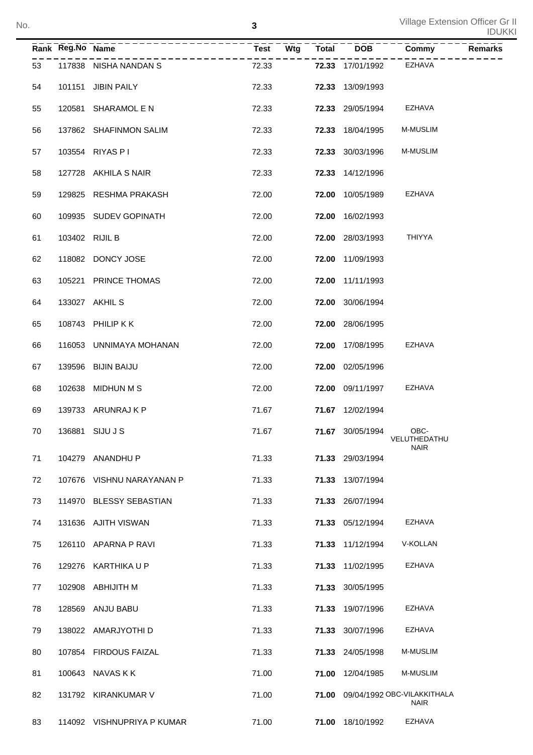|    |                  |                            |                    |              |                  |                                                  | <b>IDUKKI</b>  |
|----|------------------|----------------------------|--------------------|--------------|------------------|--------------------------------------------------|----------------|
|    | Rank Reg.No Name |                            | <b>Test</b><br>Wtg | <b>Total</b> | <b>DOB</b>       | Commy                                            | <b>Remarks</b> |
| 53 |                  | 117838 NISHA NANDAN S      | 72.33              |              | 72.33 17/01/1992 | EZHAVA                                           |                |
| 54 | 101151           | <b>JIBIN PAILY</b>         | 72.33              | 72.33        | 13/09/1993       |                                                  |                |
| 55 | 120581           | SHARAMOL E N               | 72.33              |              | 72.33 29/05/1994 | EZHAVA                                           |                |
| 56 |                  | 137862 SHAFINMON SALIM     | 72.33              | 72.33        | 18/04/1995       | <b>M-MUSLIM</b>                                  |                |
| 57 |                  | 103554 RIYAS P I           | 72.33              |              | 72.33 30/03/1996 | <b>M-MUSLIM</b>                                  |                |
| 58 |                  | 127728 AKHILA S NAIR       | 72.33              | 72.33        | 14/12/1996       |                                                  |                |
| 59 | 129825           | RESHMA PRAKASH             | 72.00              | 72.00        | 10/05/1989       | EZHAVA                                           |                |
| 60 |                  | 109935 SUDEV GOPINATH      | 72.00              | 72.00        | 16/02/1993       |                                                  |                |
| 61 | 103402 RIJIL B   |                            | 72.00              |              | 72.00 28/03/1993 | <b>THIYYA</b>                                    |                |
| 62 |                  | 118082 DONCY JOSE          | 72.00              | 72.00        | 11/09/1993       |                                                  |                |
| 63 | 105221           | PRINCE THOMAS              | 72.00              | 72.00        | 11/11/1993       |                                                  |                |
| 64 |                  | 133027 AKHIL S             | 72.00              |              | 72.00 30/06/1994 |                                                  |                |
| 65 |                  | 108743 PHILIP KK           | 72.00              |              | 72.00 28/06/1995 |                                                  |                |
| 66 |                  | 116053 UNNIMAYA MOHANAN    | 72.00              | 72.00        | 17/08/1995       | EZHAVA                                           |                |
| 67 | 139596           | <b>BIJIN BAIJU</b>         | 72.00              |              | 72.00 02/05/1996 |                                                  |                |
| 68 |                  | 102638 MIDHUN M S          | 72.00              |              | 72.00 09/11/1997 | EZHAVA                                           |                |
| 69 |                  | 139733 ARUNRAJ K P         | 71.67              |              | 71.67 12/02/1994 |                                                  |                |
| 70 |                  | 136881 SIJU J S            | 71.67              |              | 71.67 30/05/1994 | OBC-<br>VELUTHEDATHU                             |                |
| 71 |                  | 104279 ANANDHU P           | 71.33              |              | 71.33 29/03/1994 | <b>NAIR</b>                                      |                |
| 72 |                  | 107676 VISHNU NARAYANAN P  | 71.33              |              | 71.33 13/07/1994 |                                                  |                |
| 73 |                  | 114970 BLESSY SEBASTIAN    | 71.33              |              | 71.33 26/07/1994 |                                                  |                |
| 74 |                  | 131636 AJITH VISWAN        | 71.33              |              | 71.33 05/12/1994 | EZHAVA                                           |                |
| 75 |                  | 126110 APARNA P RAVI       | 71.33              |              | 71.33 11/12/1994 | V-KOLLAN                                         |                |
| 76 |                  | 129276 KARTHIKA U P        | 71.33              |              | 71.33 11/02/1995 | EZHAVA                                           |                |
| 77 |                  | 102908 ABHIJITH M          | 71.33              |              | 71.33 30/05/1995 |                                                  |                |
| 78 |                  | 128569 ANJU BABU           | 71.33              |              | 71.33 19/07/1996 | EZHAVA                                           |                |
| 79 |                  | 138022 AMARJYOTHI D        | 71.33              |              | 71.33 30/07/1996 | EZHAVA                                           |                |
| 80 |                  | 107854 FIRDOUS FAIZAL      | 71.33              |              | 71.33 24/05/1998 | M-MUSLIM                                         |                |
| 81 |                  | 100643 NAVAS K K           | 71.00              |              | 71.00 12/04/1985 | M-MUSLIM                                         |                |
| 82 |                  | 131792 KIRANKUMAR V        | 71.00              |              |                  | 71.00 09/04/1992 OBC-VILAKKITHALA<br><b>NAIR</b> |                |
| 83 |                  | 114092 VISHNUPRIYA P KUMAR | 71.00              |              | 71.00 18/10/1992 | EZHAVA                                           |                |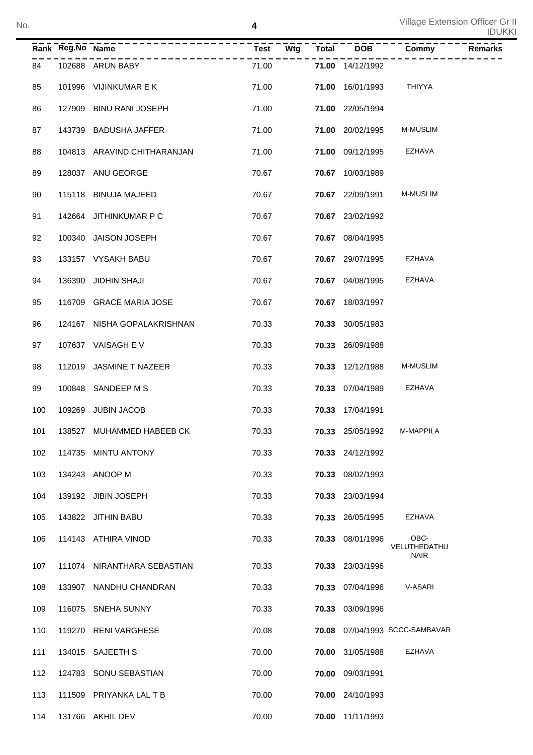|     | Rank Reg.No Name |                             | <b>Test</b> | $\overline{\mathsf{W}}$ tg | <b>Total</b> | <b>DOB</b>       | Commy                    | <b>Remarks</b> |
|-----|------------------|-----------------------------|-------------|----------------------------|--------------|------------------|--------------------------|----------------|
| 84  |                  | 102688 ARUN BABY            | 71.00       |                            |              | 71.00 14/12/1992 |                          |                |
| 85  |                  | 101996 VIJINKUMAR E K       | 71.00       |                            |              | 71.00 16/01/1993 | <b>THIYYA</b>            |                |
| 86  |                  | 127909 BINU RANI JOSEPH     | 71.00       |                            |              | 71.00 22/05/1994 |                          |                |
| 87  |                  | 143739 BADUSHA JAFFER       | 71.00       |                            |              | 71.00 20/02/1995 | <b>M-MUSLIM</b>          |                |
| 88  |                  | 104813 ARAVIND CHITHARANJAN | 71.00       |                            |              | 71.00 09/12/1995 | <b>EZHAVA</b>            |                |
| 89  |                  | 128037 ANU GEORGE           | 70.67       |                            |              | 70.67 10/03/1989 |                          |                |
| 90  |                  | 115118 BINUJA MAJEED        | 70.67       |                            |              | 70.67 22/09/1991 | <b>M-MUSLIM</b>          |                |
| 91  |                  | 142664 JITHINKUMAR P C      | 70.67       |                            |              | 70.67 23/02/1992 |                          |                |
| 92  |                  | 100340 JAISON JOSEPH        | 70.67       |                            |              | 70.67 08/04/1995 |                          |                |
| 93  |                  | 133157 VYSAKH BABU          | 70.67       |                            |              | 70.67 29/07/1995 | <b>EZHAVA</b>            |                |
| 94  | 136390           | JIDHIN SHAJI                | 70.67       |                            |              | 70.67 04/08/1995 | <b>EZHAVA</b>            |                |
| 95  |                  | 116709 GRACE MARIA JOSE     | 70.67       |                            |              | 70.67 18/03/1997 |                          |                |
| 96  |                  | 124167 NISHA GOPALAKRISHNAN | 70.33       |                            |              | 70.33 30/05/1983 |                          |                |
| 97  |                  | 107637 VAISAGH EV           | 70.33       |                            |              | 70.33 26/09/1988 |                          |                |
| 98  |                  | 112019 JASMINE T NAZEER     | 70.33       |                            |              | 70.33 12/12/1988 | <b>M-MUSLIM</b>          |                |
| 99  |                  | 100848 SANDEEP M S          | 70.33       |                            |              | 70.33 07/04/1989 | <b>EZHAVA</b>            |                |
| 100 |                  | 109269 JUBIN JACOB          | 70.33       |                            |              | 70.33 17/04/1991 |                          |                |
| 101 | 138527           | MUHAMMED HABEEB CK          | 70.33       |                            |              | 70.33 25/05/1992 | M-MAPPILA                |                |
| 102 |                  | 114735 MINTU ANTONY         | 70.33       |                            |              | 70.33 24/12/1992 |                          |                |
| 103 |                  | 134243 ANOOP M              | 70.33       |                            |              | 70.33 08/02/1993 |                          |                |
| 104 |                  | 139192 JIBIN JOSEPH         | 70.33       |                            |              | 70.33 23/03/1994 |                          |                |
| 105 |                  | 143822 JITHIN BABU          | 70.33       |                            | 70.33        | 26/05/1995       | <b>EZHAVA</b>            |                |
| 106 |                  | 114143 ATHIRA VINOD         | 70.33       |                            | 70.33        | 08/01/1996       | OBC-<br>VELUTHEDATHU     |                |
| 107 |                  | 111074 NIRANTHARA SEBASTIAN | 70.33       |                            |              | 70.33 23/03/1996 | <b>NAIR</b>              |                |
| 108 |                  | 133907 NANDHU CHANDRAN      | 70.33       |                            |              | 70.33 07/04/1996 | V-ASARI                  |                |
| 109 |                  | 116075 SNEHA SUNNY          | 70.33       |                            |              | 70.33 03/09/1996 |                          |                |
| 110 |                  | 119270 RENI VARGHESE        | 70.08       |                            | 70.08        |                  | 07/04/1993 SCCC-SAMBAVAR |                |
| 111 |                  | 134015 SAJEETH S            | 70.00       |                            | 70.00        | 31/05/1988       | <b>EZHAVA</b>            |                |
| 112 |                  | 124783 SONU SEBASTIAN       | 70.00       |                            | 70.00        | 09/03/1991       |                          |                |
| 113 |                  | 111509 PRIYANKA LAL T B     | 70.00       |                            |              | 70.00 24/10/1993 |                          |                |
| 114 |                  | 131766 AKHIL DEV            | 70.00       |                            |              | 70.00 11/11/1993 |                          |                |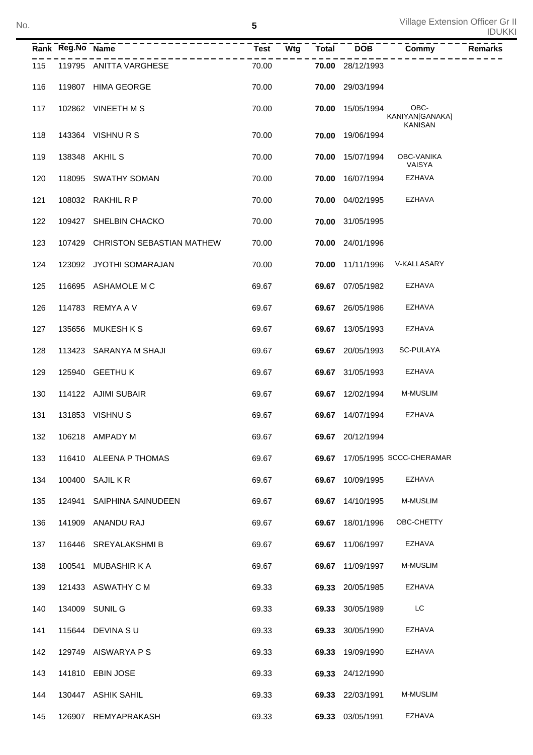|     | Rank Reg.No Name | ---------------                  | <b>Test</b> | Wtg | <b>Total</b> | <b>DOB</b>       | Commy                                     | <b>Remarks</b> |
|-----|------------------|----------------------------------|-------------|-----|--------------|------------------|-------------------------------------------|----------------|
| 115 |                  | 119795 ANITTA VARGHESE           | 70.00       |     |              | 70.00 28/12/1993 |                                           |                |
| 116 |                  | 119807 HIMA GEORGE               | 70.00       |     |              | 70.00 29/03/1994 |                                           |                |
| 117 |                  | 102862 VINEETH MS                | 70.00       |     |              | 70.00 15/05/1994 | OBC-<br>KANIYAN[GANAKA]<br><b>KANISAN</b> |                |
| 118 |                  | 143364 VISHNURS                  | 70.00       |     |              | 70.00 19/06/1994 |                                           |                |
| 119 |                  | 138348 AKHIL S                   | 70.00       |     |              | 70.00 15/07/1994 | OBC-VANIKA<br>VAISYA                      |                |
| 120 |                  | 118095 SWATHY SOMAN              | 70.00       |     | 70.00        | 16/07/1994       | EZHAVA                                    |                |
| 121 |                  | 108032 RAKHIL R P                | 70.00       |     |              | 70.00 04/02/1995 | EZHAVA                                    |                |
| 122 |                  | 109427 SHELBIN CHACKO            | 70.00       |     |              | 70.00 31/05/1995 |                                           |                |
| 123 |                  | 107429 CHRISTON SEBASTIAN MATHEW | 70.00       |     |              | 70.00 24/01/1996 |                                           |                |
| 124 |                  | 123092 JYOTHI SOMARAJAN          | 70.00       |     |              | 70.00 11/11/1996 | V-KALLASARY                               |                |
| 125 |                  | 116695 ASHAMOLE M C              | 69.67       |     |              | 69.67 07/05/1982 | EZHAVA                                    |                |
| 126 |                  | 114783 REMYA A V                 | 69.67       |     |              | 69.67 26/05/1986 | EZHAVA                                    |                |
| 127 |                  | 135656 MUKESH K S                | 69.67       |     |              | 69.67 13/05/1993 | <b>EZHAVA</b>                             |                |
| 128 |                  | 113423 SARANYA M SHAJI           | 69.67       |     |              | 69.67 20/05/1993 | SC-PULAYA                                 |                |
| 129 |                  | 125940 GEETHU K                  | 69.67       |     |              | 69.67 31/05/1993 | EZHAVA                                    |                |
| 130 |                  | 114122 AJIMI SUBAIR              | 69.67       |     |              | 69.67 12/02/1994 | M-MUSLIM                                  |                |
| 131 |                  | 131853 VISHNUS                   | 69.67       |     |              | 69.67 14/07/1994 | EZHAVA                                    |                |
| 132 |                  | 106218 AMPADY M                  | 69.67       |     |              | 69.67 20/12/1994 |                                           |                |
| 133 |                  | 116410 ALEENA P THOMAS           | 69.67       |     |              |                  | 69.67 17/05/1995 SCCC-CHERAMAR            |                |
| 134 |                  | 100400 SAJIL K R                 | 69.67       |     |              | 69.67 10/09/1995 | <b>EZHAVA</b>                             |                |
| 135 |                  | 124941 SAIPHINA SAINUDEEN        | 69.67       |     |              | 69.67 14/10/1995 | <b>M-MUSLIM</b>                           |                |
| 136 |                  | 141909 ANANDU RAJ                | 69.67       |     |              | 69.67 18/01/1996 | OBC-CHETTY                                |                |
| 137 |                  | 116446 SREYALAKSHMI B            | 69.67       |     |              | 69.67 11/06/1997 | EZHAVA                                    |                |
| 138 |                  | 100541 MUBASHIR K A              | 69.67       |     |              | 69.67 11/09/1997 | <b>M-MUSLIM</b>                           |                |
| 139 |                  | 121433 ASWATHY C M               | 69.33       |     |              | 69.33 20/05/1985 | EZHAVA                                    |                |
| 140 |                  | 134009 SUNIL G                   | 69.33       |     |              | 69.33 30/05/1989 | LC                                        |                |
| 141 |                  | 115644 DEVINA S U                | 69.33       |     |              | 69.33 30/05/1990 | EZHAVA                                    |                |
| 142 |                  | 129749 AISWARYA P S              | 69.33       |     |              | 69.33 19/09/1990 | EZHAVA                                    |                |
| 143 |                  | 141810 EBIN JOSE                 | 69.33       |     |              | 69.33 24/12/1990 |                                           |                |
| 144 |                  | 130447 ASHIK SAHIL               | 69.33       |     |              | 69.33 22/03/1991 | M-MUSLIM                                  |                |
| 145 |                  | 126907 REMYAPRAKASH              | 69.33       |     |              | 69.33 03/05/1991 | EZHAVA                                    |                |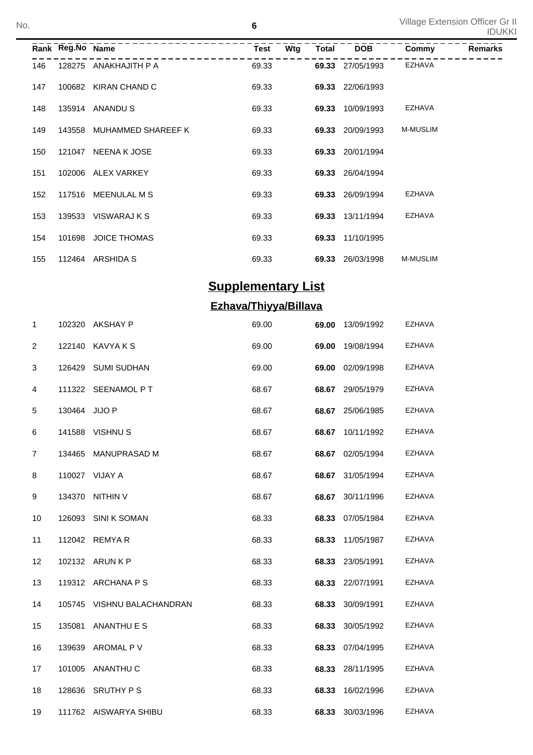|     |        |                     | Test                                                                                       | Wtg |       | <b>DOB</b> | Commy                                                                                                                                                               | <b>Remarks</b> |
|-----|--------|---------------------|--------------------------------------------------------------------------------------------|-----|-------|------------|---------------------------------------------------------------------------------------------------------------------------------------------------------------------|----------------|
| 146 | 128275 | ANAKHAJITH P A      | 69.33                                                                                      |     |       |            | EZHAVA                                                                                                                                                              |                |
| 147 | 100682 |                     | 69.33                                                                                      |     |       |            |                                                                                                                                                                     |                |
| 148 | 135914 |                     | 69.33                                                                                      |     | 69.33 | 10/09/1993 | EZHAVA                                                                                                                                                              |                |
| 149 | 143558 | MUHAMMED SHAREEF K  | 69.33                                                                                      |     |       | 20/09/1993 | <b>M-MUSLIM</b>                                                                                                                                                     |                |
| 150 | 121047 | NEENA K JOSE        | 69.33                                                                                      |     |       |            |                                                                                                                                                                     |                |
| 151 |        |                     | 69.33                                                                                      |     |       |            |                                                                                                                                                                     |                |
| 152 | 117516 | MEENULAL M S        | 69.33                                                                                      |     |       |            | EZHAVA                                                                                                                                                              |                |
| 153 |        |                     | 69.33                                                                                      |     |       |            | <b>EZHAVA</b>                                                                                                                                                       |                |
| 154 | 101698 | <b>JOICE THOMAS</b> | 69.33                                                                                      |     |       |            |                                                                                                                                                                     |                |
| 155 | 112464 | ARSHIDA S           | 69.33                                                                                      |     |       | 26/03/1998 | <b>M-MUSLIM</b>                                                                                                                                                     |                |
|     |        |                     | Rank Reg.No Name<br>KIRAN CHAND C<br>ANANDU S<br>102006 ALEX VARKEY<br>139533 VISWARAJ K S |     |       |            | Total<br>69.33 27/05/1993<br>69.33 22/06/1993<br>69.33<br>69.33 20/01/1994<br>69.33 26/04/1994<br>69.33 26/09/1994<br>69.33 13/11/1994<br>69.33 11/10/1995<br>69.33 |                |

# **Supplementary List**

## **Ezhava/Thiyya/Billava**

| 1              | 102320        | AKSHAY P                   | 69.00 | 69.00 | 13/09/1992       | <b>EZHAVA</b> |
|----------------|---------------|----------------------------|-------|-------|------------------|---------------|
| 2              | 122140        | KAVYA K S                  | 69.00 | 69.00 | 19/08/1994       | EZHAVA        |
| 3              | 126429        | <b>SUMI SUDHAN</b>         | 69.00 | 69.00 | 02/09/1998       | <b>EZHAVA</b> |
| 4              |               | 111322 SEENAMOL PT         | 68.67 | 68.67 | 29/05/1979       | <b>EZHAVA</b> |
| 5              | 130464 JIJO P |                            | 68.67 | 68.67 | 25/06/1985       | <b>EZHAVA</b> |
| 6              |               | 141588 VISHNU S            | 68.67 | 68.67 | 10/11/1992       | <b>EZHAVA</b> |
| $\overline{7}$ | 134465        | <b>MANUPRASAD M</b>        | 68.67 | 68.67 | 02/05/1994       | EZHAVA        |
| 8              |               | 110027 VIJAY A             | 68.67 | 68.67 | 31/05/1994       | EZHAVA        |
| 9              | 134370        | <b>NITHIN V</b>            | 68.67 | 68.67 | 30/11/1996       | EZHAVA        |
| 10             | 126093        | <b>SINI K SOMAN</b>        | 68.33 | 68.33 | 07/05/1984       | EZHAVA        |
| 11             |               | 112042 REMYAR              | 68.33 | 68.33 | 11/05/1987       | EZHAVA        |
| 12             |               | 102132 ARUN K P            | 68.33 | 68.33 | 23/05/1991       | EZHAVA        |
| 13             |               | 119312 ARCHANA P S         | 68.33 |       | 68.33 22/07/1991 | EZHAVA        |
| 14             |               | 105745 VISHNU BALACHANDRAN | 68.33 | 68.33 | 30/09/1991       | EZHAVA        |
| 15             | 135081        | ANANTHU E S                | 68.33 | 68.33 | 30/05/1992       | EZHAVA        |
| 16             | 139639        | AROMAL P V                 | 68.33 | 68.33 | 07/04/1995       | EZHAVA        |
| 17             | 101005        | ANANTHU C                  | 68.33 | 68.33 | 28/11/1995       | EZHAVA        |
| 18             | 128636        | <b>SRUTHY PS</b>           | 68.33 | 68.33 | 16/02/1996       | <b>EZHAVA</b> |
| 19             |               | 111762 AISWARYA SHIBU      | 68.33 | 68.33 | 30/03/1996       | <b>EZHAVA</b> |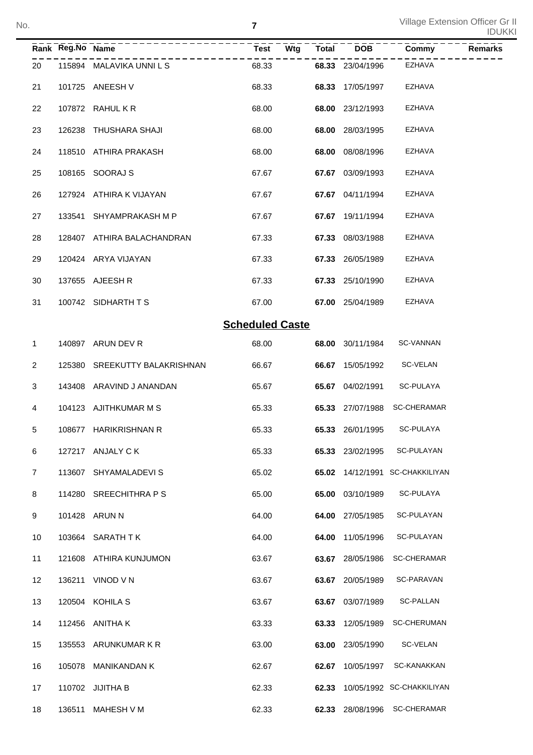|                |                  |                               |                        |              |                  |                                 | <b>IDUKKI</b>  |
|----------------|------------------|-------------------------------|------------------------|--------------|------------------|---------------------------------|----------------|
|                | Rank Reg.No Name | -----------------             | Wtg<br><b>Test</b>     | <b>Total</b> | <b>DOB</b>       | Commy                           | <b>Remarks</b> |
| 20             |                  | 115894 MALAVIKA UNNI L S      | 68.33                  |              | 68.33 23/04/1996 | <b>EZHAVA</b>                   |                |
| 21             |                  | 101725 ANEESH V               | 68.33                  | 68.33        | 17/05/1997       | <b>EZHAVA</b>                   |                |
| 22             |                  | 107872 RAHUL K R              | 68.00                  | 68.00        | 23/12/1993       | <b>EZHAVA</b>                   |                |
| 23             | 126238           | THUSHARA SHAJI                | 68.00                  | 68.00        | 28/03/1995       | <b>EZHAVA</b>                   |                |
| 24             |                  | 118510 ATHIRA PRAKASH         | 68.00                  | 68.00        | 08/08/1996       | <b>EZHAVA</b>                   |                |
| 25             |                  | 108165 SOORAJ S               | 67.67                  | 67.67        | 03/09/1993       | <b>EZHAVA</b>                   |                |
| 26             |                  | 127924 ATHIRA K VIJAYAN       | 67.67                  | 67.67        | 04/11/1994       | <b>EZHAVA</b>                   |                |
| 27             | 133541           | SHYAMPRAKASH M P              | 67.67                  | 67.67        | 19/11/1994       | <b>EZHAVA</b>                   |                |
| 28             |                  | 128407 ATHIRA BALACHANDRAN    | 67.33                  | 67.33        | 08/03/1988       | <b>EZHAVA</b>                   |                |
| 29             |                  | 120424 ARYA VIJAYAN           | 67.33                  | 67.33        | 26/05/1989       | <b>EZHAVA</b>                   |                |
| 30             |                  | 137655 AJEESH R               | 67.33                  |              | 67.33 25/10/1990 | <b>EZHAVA</b>                   |                |
| 31             |                  | 100742 SIDHARTH TS            | 67.00                  |              | 67.00 25/04/1989 | <b>EZHAVA</b>                   |                |
|                |                  |                               | <b>Scheduled Caste</b> |              |                  |                                 |                |
| 1              |                  | 140897 ARUN DEV R             | 68.00                  | 68.00        | 30/11/1984       | <b>SC-VANNAN</b>                |                |
| $\overline{2}$ |                  | 125380 SREEKUTTY BALAKRISHNAN | 66.67                  | 66.67        | 15/05/1992       | SC-VELAN                        |                |
| 3              |                  | 143408 ARAVIND J ANANDAN      | 65.67                  | 65.67        | 04/02/1991       | SC-PULAYA                       |                |
| 4              |                  | 104123 AJITHKUMAR M S         | 65.33                  |              | 65.33 27/07/1988 | <b>SC-CHERAMAR</b>              |                |
| 5              |                  | 108677 HARIKRISHNAN R         | 65.33                  |              | 65.33 26/01/1995 | SC-PULAYA                       |                |
| 6              |                  | 127217 ANJALY C K             | 65.33                  |              | 65.33 23/02/1995 | SC-PULAYAN                      |                |
| 7              |                  | 113607 SHYAMALADEVIS          | 65.02                  |              |                  | 65.02 14/12/1991 SC-CHAKKILIYAN |                |
| 8              |                  | 114280 SREECHITHRA P S        | 65.00                  |              | 65.00 03/10/1989 | SC-PULAYA                       |                |
| 9              |                  | 101428 ARUN N                 | 64.00                  |              | 64.00 27/05/1985 | SC-PULAYAN                      |                |
| 10             |                  | 103664 SARATH TK              | 64.00                  |              | 64.00 11/05/1996 | SC-PULAYAN                      |                |
| 11             |                  | 121608 ATHIRA KUNJUMON        | 63.67                  |              | 63.67 28/05/1986 | <b>SC-CHERAMAR</b>              |                |
| 12             |                  | 136211 VINOD V N              | 63.67                  |              | 63.67 20/05/1989 | SC-PARAVAN                      |                |
| 13             |                  | 120504 KOHILA S               | 63.67                  |              | 63.67 03/07/1989 | SC-PALLAN                       |                |
| 14             |                  | 112456 ANITHA K               | 63.33                  |              | 63.33 12/05/1989 | <b>SC-CHERUMAN</b>              |                |
| 15             |                  | 135553 ARUNKUMAR K R          | 63.00                  |              | 63.00 23/05/1990 | SC-VELAN                        |                |
| 16             |                  | 105078 MANIKANDAN K           | 62.67                  |              | 62.67 10/05/1997 | SC-KANAKKAN                     |                |
| 17             |                  | 110702 JIJITHA B              | 62.33                  |              |                  | 62.33 10/05/1992 SC-CHAKKILIYAN |                |
| 18             |                  | 136511 MAHESH V M             | 62.33                  |              |                  | 62.33 28/08/1996 SC-CHERAMAR    |                |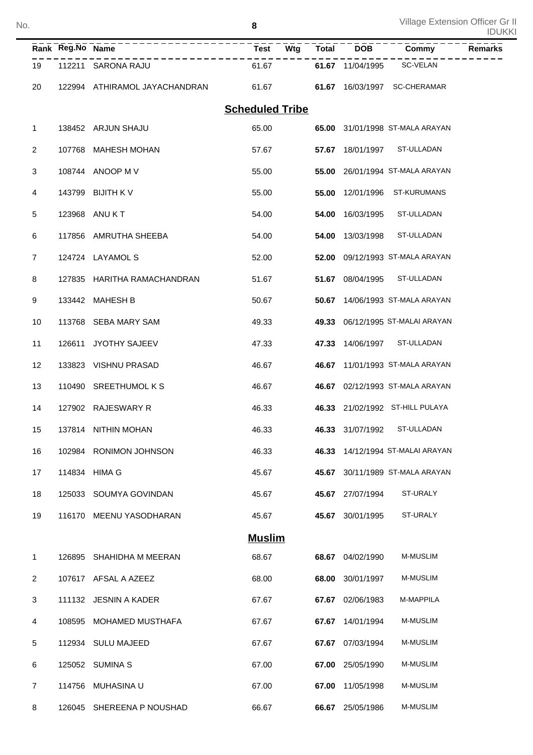No.

|                | Rank Reg.No Name |                               | <b>Test</b><br>Wtg     | Total | $\overline{DOB}$ | Commy                            | <b>Remarks</b> |
|----------------|------------------|-------------------------------|------------------------|-------|------------------|----------------------------------|----------------|
| 19             |                  | 112211 SARONA RAJU            | 61.67                  |       | 61.67 11/04/1995 | <b>SC-VELAN</b>                  |                |
| 20             |                  | 122994 ATHIRAMOL JAYACHANDRAN | 61.67                  |       |                  | 61.67 16/03/1997 SC-CHERAMAR     |                |
|                |                  |                               | <b>Scheduled Tribe</b> |       |                  |                                  |                |
| $\mathbf 1$    |                  | 138452 ARJUN SHAJU            | 65.00                  |       |                  | 65.00 31/01/1998 ST-MALA ARAYAN  |                |
| 2              | 107768           | MAHESH MOHAN                  | 57.67                  | 57.67 | 18/01/1997       | ST-ULLADAN                       |                |
| 3              |                  | 108744 ANOOP M V              | 55.00                  | 55.00 |                  | 26/01/1994 ST-MALA ARAYAN        |                |
| 4              | 143799           | BIJITH K V                    | 55.00                  | 55.00 | 12/01/1996       | <b>ST-KURUMANS</b>               |                |
| 5              |                  | 123968 ANU K T                | 54.00                  | 54.00 | 16/03/1995       | ST-ULLADAN                       |                |
| 6              | 117856           | AMRUTHA SHEEBA                | 54.00                  | 54.00 | 13/03/1998       | ST-ULLADAN                       |                |
| $\overline{7}$ |                  | 124724 LAYAMOL S              | 52.00                  | 52.00 |                  | 09/12/1993 ST-MALA ARAYAN        |                |
| 8              | 127835           | HARITHA RAMACHANDRAN          | 51.67                  |       | 51.67 08/04/1995 | ST-ULLADAN                       |                |
| 9              |                  | 133442 MAHESH B               | 50.67                  | 50.67 |                  | 14/06/1993 ST-MALA ARAYAN        |                |
| 10             | 113768           | SEBA MARY SAM                 | 49.33                  | 49.33 |                  | 06/12/1995 ST-MALAI ARAYAN       |                |
| 11             | 126611           | JYOTHY SAJEEV                 | 47.33                  | 47.33 | 14/06/1997       | ST-ULLADAN                       |                |
| 12             | 133823           | <b>VISHNU PRASAD</b>          | 46.67                  | 46.67 |                  | 11/01/1993 ST-MALA ARAYAN        |                |
| 13             |                  | 110490 SREETHUMOL K S         | 46.67                  |       |                  | 46.67 02/12/1993 ST-MALA ARAYAN  |                |
| 14             |                  | 127902 RAJESWARY R            | 46.33                  |       |                  | 46.33 21/02/1992 ST-HILL PULAYA  |                |
| 15             |                  | 137814 NITHIN MOHAN           | 46.33                  |       | 46.33 31/07/1992 | ST-ULLADAN                       |                |
| 16             |                  | 102984 RONIMON JOHNSON        | 46.33                  |       |                  | 46.33 14/12/1994 ST-MALAI ARAYAN |                |
| 17             |                  | 114834 HIMA G                 | 45.67                  | 45.67 |                  | 30/11/1989 ST-MALA ARAYAN        |                |
| 18             |                  | 125033 SOUMYA GOVINDAN        | 45.67                  |       | 45.67 27/07/1994 | ST-URALY                         |                |
| 19             |                  | 116170 MEENU YASODHARAN       | 45.67                  | 45.67 | 30/01/1995       | ST-URALY                         |                |
|                |                  |                               | <b>Muslim</b>          |       |                  |                                  |                |
| $\mathbf 1$    |                  | 126895 SHAHIDHA M MEERAN      | 68.67                  |       | 68.67 04/02/1990 | M-MUSLIM                         |                |
| $\overline{2}$ |                  | 107617 AFSAL A AZEEZ          | 68.00                  | 68.00 | 30/01/1997       | M-MUSLIM                         |                |
| 3              |                  | 111132 JESNIN A KADER         | 67.67                  | 67.67 | 02/06/1983       | M-MAPPILA                        |                |
| 4              |                  | 108595 MOHAMED MUSTHAFA       | 67.67                  | 67.67 | 14/01/1994       | M-MUSLIM                         |                |
| 5              |                  | 112934 SULU MAJEED            | 67.67                  | 67.67 | 07/03/1994       | M-MUSLIM                         |                |
| 6              |                  | 125052 SUMINA S               | 67.00                  | 67.00 | 25/05/1990       | M-MUSLIM                         |                |
| $\overline{7}$ |                  | 114756 MUHASINA U             | 67.00                  | 67.00 | 11/05/1998       | M-MUSLIM                         |                |
| 8              |                  | 126045 SHEREENA P NOUSHAD     | 66.67                  |       | 66.67 25/05/1986 | M-MUSLIM                         |                |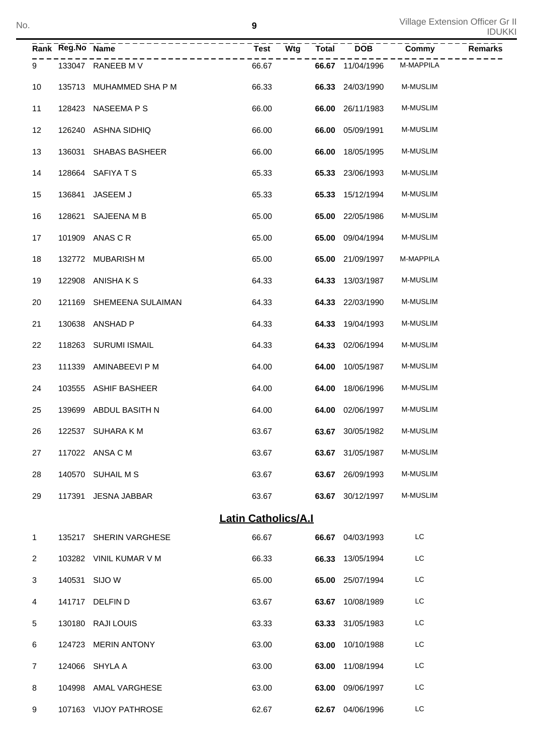|                | Rank Reg.No Name | ----------------         | $\bar{T} \bar{est}$ <sup>----</sup><br>$\overline{\mathsf{W}}$ tg | Total | $\overline{DOB}$        | Commy           | <b>Remarks</b> |
|----------------|------------------|--------------------------|-------------------------------------------------------------------|-------|-------------------------|-----------------|----------------|
| 9              |                  | 133047 RANEEB M V        | 66.67                                                             |       | 66.67 11/04/1996        | M-MAPPILA       |                |
| 10             |                  | 135713 MUHAMMED SHA P M  | 66.33                                                             |       | 66.33 24/03/1990        | M-MUSLIM        |                |
| 11             |                  | 128423 NASEEMA P S       | 66.00                                                             |       | 66.00 26/11/1983        | <b>M-MUSLIM</b> |                |
| 12             |                  | 126240 ASHNA SIDHIQ      | 66.00                                                             |       | 66.00 05/09/1991        | M-MUSLIM        |                |
| 13             |                  | 136031 SHABAS BASHEER    | 66.00                                                             |       | 66.00 18/05/1995        | M-MUSLIM        |                |
| 14             |                  | 128664 SAFIYATS          | 65.33                                                             |       | 65.33 23/06/1993        | M-MUSLIM        |                |
| 15             |                  | 136841 JASEEM J          | 65.33                                                             |       | 65.33 15/12/1994        | M-MUSLIM        |                |
| 16             |                  | 128621 SAJEENA M B       | 65.00                                                             |       | <b>65.00</b> 22/05/1986 | M-MUSLIM        |                |
| 17             |                  | 101909 ANAS C R          | 65.00                                                             |       | 65.00 09/04/1994        | <b>M-MUSLIM</b> |                |
| 18             |                  | 132772 MUBARISH M        | 65.00                                                             |       | 65.00 21/09/1997        | M-MAPPILA       |                |
| 19             |                  | 122908 ANISHAKS          | 64.33                                                             |       | 64.33 13/03/1987        | M-MUSLIM        |                |
| 20             |                  | 121169 SHEMEENA SULAIMAN | 64.33                                                             |       | 64.33 22/03/1990        | M-MUSLIM        |                |
| 21             |                  | 130638 ANSHAD P          | 64.33                                                             |       | 64.33 19/04/1993        | M-MUSLIM        |                |
| 22             |                  | 118263 SURUMI ISMAIL     | 64.33                                                             |       | 64.33 02/06/1994        | M-MUSLIM        |                |
| 23             |                  | 111339 AMINABEEVI P M    | 64.00                                                             | 64.00 | 10/05/1987              | M-MUSLIM        |                |
| 24             |                  | 103555 ASHIF BASHEER     | 64.00                                                             | 64.00 | 18/06/1996              | M-MUSLIM        |                |
| 25             |                  | 139699 ABDUL BASITH N    | 64.00                                                             |       | 64.00 02/06/1997        | <b>M-MUSLIM</b> |                |
| 26             |                  | 122537 SUHARA K M        | 63.67                                                             |       | 63.67 30/05/1982        | <b>M-MUSLIM</b> |                |
| 27             |                  | 117022 ANSA C M          | 63.67                                                             |       | 63.67 31/05/1987        | M-MUSLIM        |                |
| 28             |                  | 140570 SUHAIL M S        | 63.67                                                             |       | 63.67 26/09/1993        | M-MUSLIM        |                |
| 29             |                  | 117391 JESNA JABBAR      | 63.67                                                             |       | 63.67 30/12/1997        | <b>M-MUSLIM</b> |                |
|                |                  |                          | <b>Latin Catholics/A.I</b>                                        |       |                         |                 |                |
| $\mathbf{1}$   |                  | 135217 SHERIN VARGHESE   | 66.67                                                             |       | 66.67 04/03/1993        | LC              |                |
| $\overline{2}$ |                  | 103282 VINIL KUMAR V M   | 66.33                                                             |       | 66.33 13/05/1994        | LC              |                |
| 3              |                  | 140531 SIJO W            | 65.00                                                             |       | 65.00 25/07/1994        | LC              |                |
| 4              |                  | 141717 DELFIN D          | 63.67                                                             |       | 63.67 10/08/1989        | LC              |                |
| 5              |                  | 130180 RAJI LOUIS        | 63.33                                                             |       | 63.33 31/05/1983        | LC              |                |
| 6              |                  | 124723 MERIN ANTONY      | 63.00                                                             |       | 63.00 10/10/1988        | LC              |                |
| $\overline{7}$ |                  | 124066 SHYLA A           | 63.00                                                             |       | 63.00 11/08/1994        | LC              |                |
| 8              |                  | 104998 AMAL VARGHESE     | 63.00                                                             |       | 63.00 09/06/1997        | LC              |                |
| 9              |                  | 107163 VIJOY PATHROSE    | 62.67                                                             |       | 62.67 04/06/1996        | LC              |                |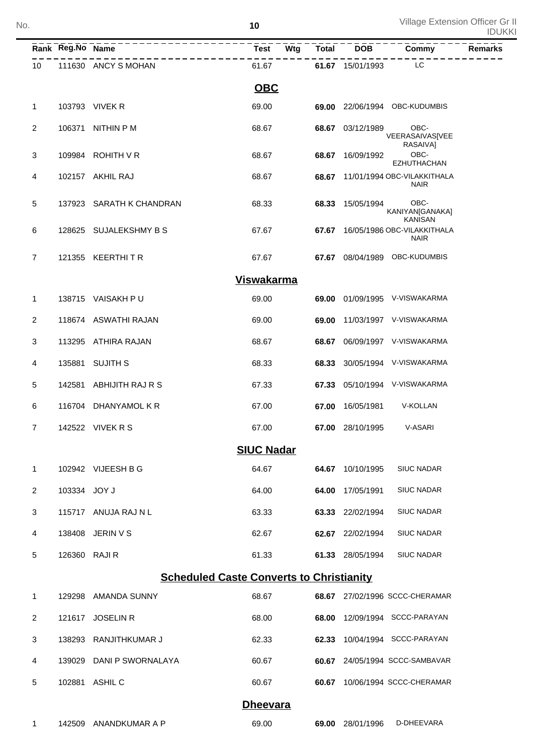|                | Rank Reg.No Name |                                                 | <b>Test</b>       | Wtg | <b>Total</b> | <b>DOB</b>       | Commy                                            | <b>Remarks</b> |
|----------------|------------------|-------------------------------------------------|-------------------|-----|--------------|------------------|--------------------------------------------------|----------------|
| 10             |                  | 111630 ANCY S MOHAN                             | 61.67             |     |              | 61.67 15/01/1993 | LC                                               |                |
|                |                  |                                                 | <b>OBC</b>        |     |              |                  |                                                  |                |
| $\mathbf{1}$   |                  | 103793 VIVEK R                                  | 69.00             |     | 69.00        |                  | 22/06/1994 OBC-KUDUMBIS                          |                |
| $\sqrt{2}$     | 106371           | <b>NITHIN P M</b>                               | 68.67             |     | 68.67        | 03/12/1989       | OBC-<br>VEERASAIVAS[VEE<br>RASAIVA]              |                |
| 3              |                  | 109984 ROHITH V R                               | 68.67             |     | 68.67        | 16/09/1992       | OBC-<br><b>EZHUTHACHAN</b>                       |                |
| 4              |                  | 102157 AKHIL RAJ                                | 68.67             |     | 68.67        |                  | 11/01/1994 OBC-VILAKKITHALA<br><b>NAIR</b>       |                |
| 5              | 137923           | SARATH K CHANDRAN                               | 68.33             |     | 68.33        | 15/05/1994       | OBC-<br>KANIYAN[GANAKA]<br><b>KANISAN</b>        |                |
| 6              |                  | 128625 SUJALEKSHMY B S                          | 67.67             |     |              |                  | 67.67 16/05/1986 OBC-VILAKKITHALA<br><b>NAIR</b> |                |
| $\overline{7}$ |                  | 121355 KEERTHITR                                | 67.67             |     |              |                  | 67.67 08/04/1989 OBC-KUDUMBIS                    |                |
|                |                  |                                                 | <b>Viswakarma</b> |     |              |                  |                                                  |                |
| 1              |                  | 138715 VAISAKH PU                               | 69.00             |     | 69.00        |                  | 01/09/1995 V-VISWAKARMA                          |                |
| $\overline{c}$ |                  | 118674 ASWATHI RAJAN                            | 69.00             |     | 69.00        |                  | 11/03/1997 V-VISWAKARMA                          |                |
| 3              | 113295           | ATHIRA RAJAN                                    | 68.67             |     | 68.67        |                  | 06/09/1997 V-VISWAKARMA                          |                |
| 4              | 135881           | <b>SUJITH S</b>                                 | 68.33             |     | 68.33        |                  | 30/05/1994 V-VISWAKARMA                          |                |
| 5              | 142581           | ABHIJITH RAJ R S                                | 67.33             |     | 67.33        |                  | 05/10/1994 V-VISWAKARMA                          |                |
| 6              | 116704           | DHANYAMOL K R                                   | 67.00             |     | 67.00        | 16/05/1981       | V-KOLLAN                                         |                |
| $\overline{7}$ |                  | 142522 VIVEK R S                                | 67.00             |     |              | 67.00 28/10/1995 | V-ASARI                                          |                |
|                |                  |                                                 | <b>SIUC Nadar</b> |     |              |                  |                                                  |                |
| 1              |                  | 102942 VIJEESH B G                              | 64.67             |     | 64.67        | 10/10/1995       | <b>SIUC NADAR</b>                                |                |
| 2              | 103334           | <b>JOY J</b>                                    | 64.00             |     | 64.00        | 17/05/1991       | <b>SIUC NADAR</b>                                |                |
| 3              | 115717           | ANUJA RAJ N L                                   | 63.33             |     | 63.33        | 22/02/1994       | <b>SIUC NADAR</b>                                |                |
| 4              | 138408           | JERIN V S                                       | 62.67             |     | 62.67        | 22/02/1994       | <b>SIUC NADAR</b>                                |                |
| 5              | 126360           | <b>RAJIR</b>                                    | 61.33             |     |              | 61.33 28/05/1994 | <b>SIUC NADAR</b>                                |                |
|                |                  | <b>Scheduled Caste Converts to Christianity</b> |                   |     |              |                  |                                                  |                |
| 1              | 129298           | AMANDA SUNNY                                    | 68.67             |     |              |                  | 68.67 27/02/1996 SCCC-CHERAMAR                   |                |
| $\overline{2}$ | 121617           | <b>JOSELIN R</b>                                | 68.00             |     | 68.00        |                  | 12/09/1994 SCCC-PARAYAN                          |                |
| 3              | 138293           | RANJITHKUMAR J                                  | 62.33             |     | 62.33        |                  | 10/04/1994 SCCC-PARAYAN                          |                |
| 4              | 139029           | DANI P SWORNALAYA                               | 60.67             |     | 60.67        |                  | 24/05/1994 SCCC-SAMBAVAR                         |                |
| 5              |                  | 102881 ASHIL C                                  | 60.67             |     | 60.67        |                  | 10/06/1994 SCCC-CHERAMAR                         |                |
|                |                  |                                                 | <b>Dheevara</b>   |     |              |                  |                                                  |                |
| 1              |                  | 142509 ANANDKUMAR A P                           | 69.00             |     |              | 69.00 28/01/1996 | D-DHEEVARA                                       |                |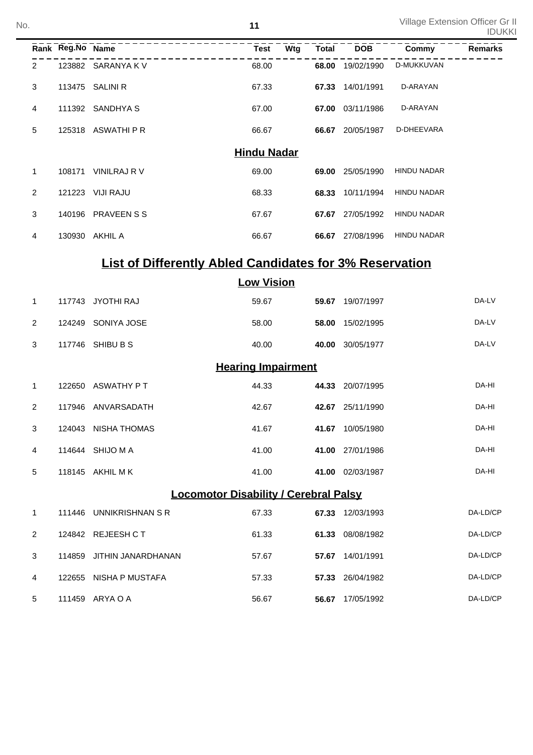|                | Rank Reg.No Name |                                                                | Wtg<br><b>Test</b>        | <b>Total</b> | <b>DOB</b>       | <b>Commy</b>       | <b>Remarks</b> |
|----------------|------------------|----------------------------------------------------------------|---------------------------|--------------|------------------|--------------------|----------------|
| 2              |                  | 123882 SARANYA K V                                             | 68.00                     |              | 68.00 19/02/1990 | D-MUKKUVAN         |                |
| 3              |                  | 113475 SALINI R                                                | 67.33                     | 67.33        | 14/01/1991       | D-ARAYAN           |                |
| 4              |                  | 111392 SANDHYA S                                               | 67.00                     |              | 67.00 03/11/1986 | D-ARAYAN           |                |
| 5              |                  | 125318 ASWATHI P R                                             | 66.67                     |              | 66.67 20/05/1987 | D-DHEEVARA         |                |
|                |                  |                                                                | <b>Hindu Nadar</b>        |              |                  |                    |                |
| $\mathbf{1}$   |                  | 108171 VINILRAJ R V                                            | 69.00                     | 69.00        | 25/05/1990       | <b>HINDU NADAR</b> |                |
| 2              | 121223           | VIJI RAJU                                                      | 68.33                     | 68.33        | 10/11/1994       | <b>HINDU NADAR</b> |                |
| 3              |                  | 140196 PRAVEEN S S                                             | 67.67                     | 67.67        | 27/05/1992       | <b>HINDU NADAR</b> |                |
| 4              |                  | 130930 AKHIL A                                                 | 66.67                     |              | 66.67 27/08/1996 | <b>HINDU NADAR</b> |                |
|                |                  | <b>List of Differently Abled Candidates for 3% Reservation</b> |                           |              |                  |                    |                |
|                |                  |                                                                | <b>Low Vision</b>         |              |                  |                    |                |
| 1              |                  | 117743 JYOTHI RAJ                                              | 59.67                     |              | 59.67 19/07/1997 |                    | DA-LV          |
| 2              |                  | 124249 SONIYA JOSE                                             | 58.00                     | 58.00        | 15/02/1995       |                    | DA-LV          |
| 3              |                  | 117746 SHIBU B S                                               | 40.00                     |              | 40.00 30/05/1977 |                    | DA-LV          |
|                |                  |                                                                | <b>Hearing Impairment</b> |              |                  |                    |                |
| 1              |                  | 122650 ASWATHY PT                                              | 44.33                     |              | 44.33 20/07/1995 |                    | DA-HI          |
| 2              |                  | 117946 ANVARSADATH                                             | 42.67                     |              | 42.67 25/11/1990 |                    | DA-HI          |
| 3              |                  | 124043 NISHA THOMAS                                            | 41.67                     |              | 41.67 10/05/1980 |                    | DA-HI          |
| 4              |                  | 114644 SHIJO M A                                               | 41.00                     |              | 41.00 27/01/1986 |                    | DA-HI          |
| 5              |                  | 118145 AKHIL M K                                               | 41.00                     |              | 41.00 02/03/1987 |                    | DA-HI          |
|                |                  | <b>Locomotor Disability / Cerebral Palsy</b>                   |                           |              |                  |                    |                |
| $\mathbf{1}$   |                  | 111446 UNNIKRISHNAN SR                                         | 67.33                     |              | 67.33 12/03/1993 |                    | DA-LD/CP       |
| $\overline{2}$ |                  | 124842 REJEESH CT                                              | 61.33                     |              | 61.33 08/08/1982 |                    | DA-LD/CP       |
| 3              |                  | 114859 JITHIN JANARDHANAN                                      | 57.67                     |              | 57.67 14/01/1991 |                    | DA-LD/CP       |
| 4              |                  | 122655 NISHA P MUSTAFA                                         | 57.33                     |              | 57.33 26/04/1982 |                    | DA-LD/CP       |
| 5              |                  | 111459 ARYA O A                                                | 56.67                     |              | 56.67 17/05/1992 |                    | DA-LD/CP       |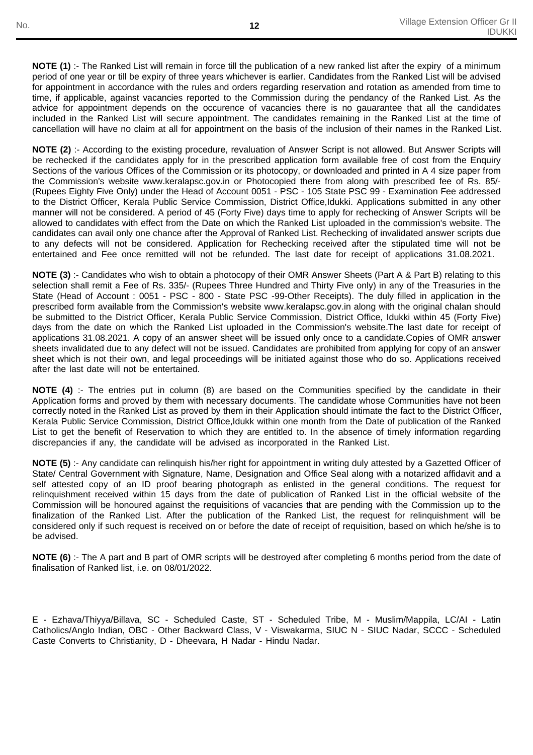**NOTE (1)** :- The Ranked List will remain in force till the publication of a new ranked list after the expiry of a minimum period of one year or till be expiry of three years whichever is earlier. Candidates from the Ranked List will be advised for appointment in accordance with the rules and orders regarding reservation and rotation as amended from time to time, if applicable, against vacancies reported to the Commission during the pendancy of the Ranked List. As the advice for appointment depends on the occurence of vacancies there is no gauarantee that all the candidates included in the Ranked List will secure appointment. The candidates remaining in the Ranked List at the time of cancellation will have no claim at all for appointment on the basis of the inclusion of their names in the Ranked List.

**NOTE (2)** :- According to the existing procedure, revaluation of Answer Script is not allowed. But Answer Scripts will be rechecked if the candidates apply for in the prescribed application form available free of cost from the Enquiry Sections of the various Offices of the Commission or its photocopy, or downloaded and printed in A 4 size paper from the Commission's website www.keralapsc.gov.in or Photocopied there from along with prescribed fee of Rs. 85/- (Rupees Eighty Five Only) under the Head of Account 0051 - PSC - 105 State PSC 99 - Examination Fee addressed to the District Officer, Kerala Public Service Commission, District Office,Idukki. Applications submitted in any other manner will not be considered. A period of 45 (Forty Five) days time to apply for rechecking of Answer Scripts will be allowed to candidates with effect from the Date on which the Ranked List uploaded in the commission's website. The candidates can avail only one chance after the Approval of Ranked List. Rechecking of invalidated answer scripts due to any defects will not be considered. Application for Rechecking received after the stipulated time will not be entertained and Fee once remitted will not be refunded. The last date for receipt of applications 31.08.2021.

**NOTE (3)** :- Candidates who wish to obtain a photocopy of their OMR Answer Sheets (Part A & Part B) relating to this selection shall remit a Fee of Rs. 335/- (Rupees Three Hundred and Thirty Five only) in any of the Treasuries in the State (Head of Account : 0051 - PSC - 800 - State PSC -99-Other Receipts). The duly filled in application in the prescribed form available from the Commission's website www.keralapsc.gov.in along with the original chalan should be submitted to the District Officer, Kerala Public Service Commission, District Office, Idukki within 45 (Forty Five) days from the date on which the Ranked List uploaded in the Commission's website.The last date for receipt of applications 31.08.2021. A copy of an answer sheet will be issued only once to a candidate.Copies of OMR answer sheets invalidated due to any defect will not be issued. Candidates are prohibited from applying for copy of an answer sheet which is not their own, and legal proceedings will be initiated against those who do so. Applications received after the last date will not be entertained.

**NOTE (4)** :- The entries put in column (8) are based on the Communities specified by the candidate in their Application forms and proved by them with necessary documents. The candidate whose Communities have not been correctly noted in the Ranked List as proved by them in their Application should intimate the fact to the District Officer, Kerala Public Service Commission, District Office,Idukk within one month from the Date of publication of the Ranked List to get the benefit of Reservation to which they are entitled to. In the absence of timely information regarding discrepancies if any, the candidate will be advised as incorporated in the Ranked List.

**NOTE (5)** :- Any candidate can relinquish his/her right for appointment in writing duly attested by a Gazetted Officer of State/ Central Government with Signature, Name, Designation and Office Seal along with a notarized affidavit and a self attested copy of an ID proof bearing photograph as enlisted in the general conditions. The request for relinquishment received within 15 days from the date of publication of Ranked List in the official website of the Commission will be honoured against the requisitions of vacancies that are pending with the Commission up to the finalization of the Ranked List. After the publication of the Ranked List, the request for relinquishment will be considered only if such request is received on or before the date of receipt of requisition, based on which he/she is to be advised.

**NOTE (6)** :- The A part and B part of OMR scripts will be destroyed after completing 6 months period from the date of finalisation of Ranked list, i.e. on 08/01/2022.

E - Ezhava/Thiyya/Billava, SC - Scheduled Caste, ST - Scheduled Tribe, M - Muslim/Mappila, LC/AI - Latin Catholics/Anglo Indian, OBC - Other Backward Class, V - Viswakarma, SIUC N - SIUC Nadar, SCCC - Scheduled Caste Converts to Christianity, D - Dheevara, H Nadar - Hindu Nadar.